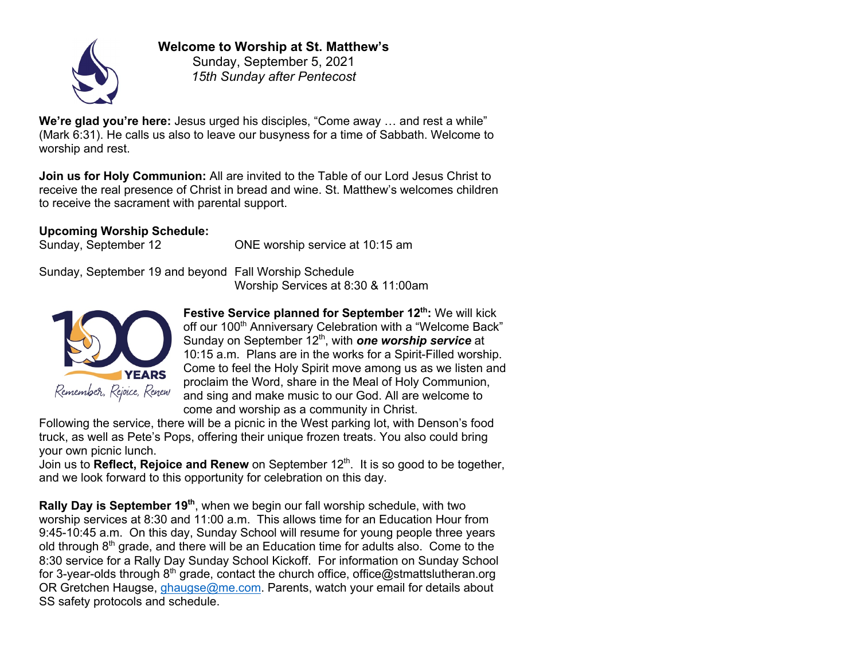

**Welcome to Worship at St. Matthew's** Sunday, September 5, 2021

*15th Sunday after Pentecost*

**We're glad you're here:** Jesus urged his disciples, "Come away … and rest a while" (Mark 6:31). He calls us also to leave our busyness for a time of Sabbath. Welcome to worship and rest.

**Join us for Holy Communion:** All are invited to the Table of our Lord Jesus Christ to receive the real presence of Christ in bread and wine. St. Matthew's welcomes children to receive the sacrament with parental support.

**Upcoming Worship Schedule:**

Sunday, September 12 ONE worship service at 10:15 am

Sunday, September 19 and beyond Fall Worship Schedule Worship Services at 8:30 & 11:00am



**Festive Service planned for September 12<sup>th</sup>: We will kick** off our 100<sup>th</sup> Anniversary Celebration with a "Welcome Back" Sunday on September 12<sup>th</sup>, with **one worship service** at 10:15 a.m. Plans are in the works for a Spirit-Filled worship. Come to feel the Holy Spirit move among us as we listen and proclaim the Word, share in the Meal of Holy Communion, and sing and make music to our God. All are welcome to come and worship as a community in Christ.

Following the service, there will be a picnic in the West parking lot, with Denson's food truck, as well as Pete's Pops, offering their unique frozen treats. You also could bring your own picnic lunch.

Join us to **Reflect, Rejoice and Renew** on September 12<sup>th</sup>. It is so good to be together, and we look forward to this opportunity for celebration on this day.

**Rally Day is September 19<sup>th</sup>**, when we begin our fall worship schedule, with two worship services at 8:30 and 11:00 a.m. This allows time for an Education Hour from 9:45-10:45 a.m. On this day, Sunday School will resume for young people three years old through  $8<sup>th</sup>$  grade, and there will be an Education time for adults also. Come to the 8:30 service for a Rally Day Sunday School Kickoff. For information on Sunday School for 3-year-olds through  $8<sup>th</sup>$  grade, contact the church office, office@stmattslutheran.org OR Gretchen Haugse, ghaugse@me.com. Parents, watch your email for details about SS safety protocols and schedule.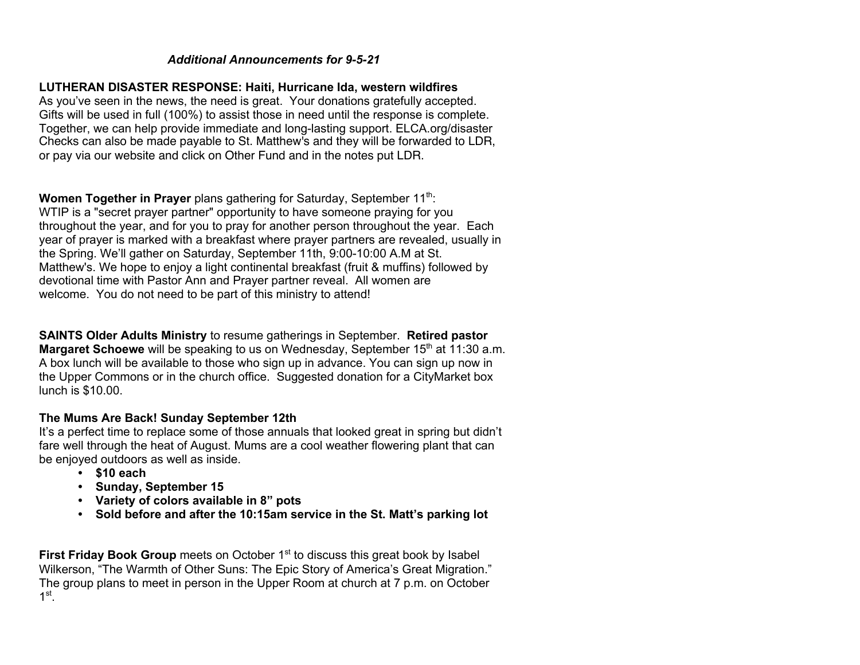### *Additional Announcements for 9-5-21*

#### **LUTHERAN DISASTER RESPONSE: Haiti, Hurricane Ida, western wildfires**

As you've seen in the news, the need is great. Your donations gratefully accepted. Gifts will be used in full (100%) to assist those in need until the response is complete. Together, we can help provide immediate and long-lasting support. ELCA.org/disaster Checks can also be made payable to St. Matthew's and they will be forwarded to LDR, or pay via our website and click on Other Fund and in the notes put LDR.

**Women Together in Prayer** plans gathering for Saturday, September 11<sup>th</sup>: WTIP is a "secret prayer partner" opportunity to have someone praying for you throughout the year, and for you to pray for another person throughout the year. Each year of prayer is marked with a breakfast where prayer partners are revealed, usually in the Spring. We'll gather on Saturday, September 11th, 9:00-10:00 A.M at St. Matthew's. We hope to enjoy a light continental breakfast (fruit & muffins) followed by devotional time with Pastor Ann and Prayer partner reveal. All women are welcome. You do not need to be part of this ministry to attend!

**SAINTS Older Adults Ministry** to resume gatherings in September. **Retired pastor Margaret Schoewe** will be speaking to us on Wednesday, September 15<sup>th</sup> at 11:30 a.m. A box lunch will be available to those who sign up in advance. You can sign up now in the Upper Commons or in the church office. Suggested donation for a CityMarket box lunch is \$10.00.

#### **The Mums Are Back! Sunday September 12th**

It's a perfect time to replace some of those annuals that looked great in spring but didn't fare well through the heat of August. Mums are a cool weather flowering plant that can be enjoyed outdoors as well as inside.

- **\$10 each**
- **Sunday, September 15**
- **Variety of colors available in 8" pots**
- **Sold before and after the 10:15am service in the St. Matt's parking lot**

**First Friday Book Group** meets on October 1<sup>st</sup> to discuss this great book by Isabel Wilkerson, "The Warmth of Other Suns: The Epic Story of America's Great Migration." The group plans to meet in person in the Upper Room at church at 7 p.m. on October  $1<sup>st</sup>$ .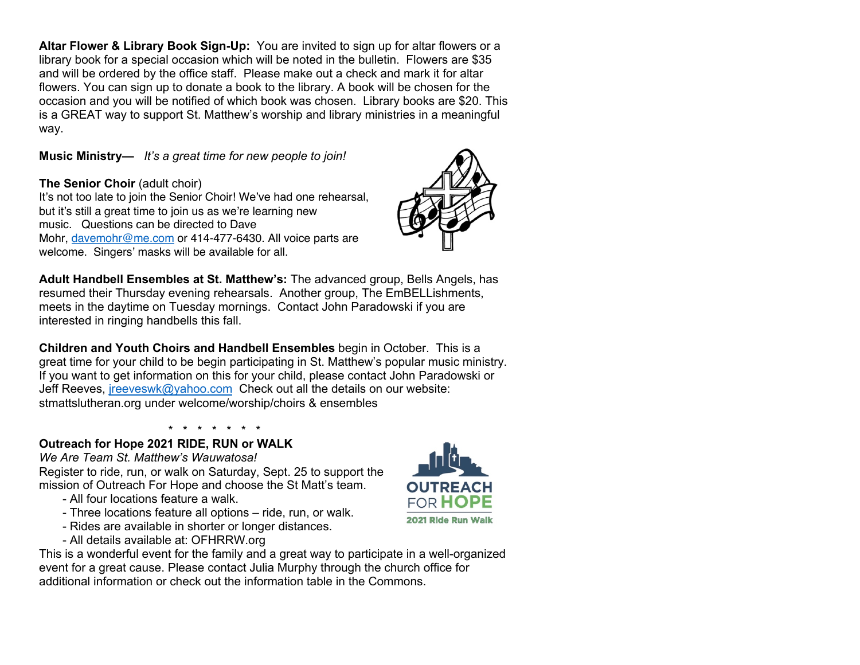**Altar Flower & Library Book Sign-Up:** You are invited to sign up for altar flowers or a library book for a special occasion which will be noted in the bulletin. Flowers are \$35 and will be ordered by the office staff. Please make out a check and mark it for altar flowers. You can sign up to donate a book to the library. A book will be chosen for the occasion and you will be notified of which book was chosen. Library books are \$20. This is a GREAT way to support St. Matthew's worship and library ministries in a meaningful way.

## **Music Ministry—** *It's a great time for new people to join!*

# **The Senior Choir** (adult choir)

It's not too late to join the Senior Choir! We've had one rehearsal, but it's still a great time to join us as we're learning new music. Questions can be directed to Dave Mohr. davemohr@me.com or 414-477-6430. All voice parts are welcome. Singers' masks will be available for all.



**Adult Handbell Ensembles at St. Matthew's:** The advanced group, Bells Angels, has resumed their Thursday evening rehearsals. Another group, The EmBELLishments, meets in the daytime on Tuesday mornings. Contact John Paradowski if you are interested in ringing handbells this fall.

**Children and Youth Choirs and Handbell Ensembles** begin in October. This is a great time for your child to be begin participating in St. Matthew's popular music ministry. If you want to get information on this for your child, please contact John Paradowski or Jeff Reeves, jreeveswk@yahoo.com Check out all the details on our website: stmattslutheran.org under welcome/worship/choirs & ensembles

\* \* \* \* \* \* \*

## **Outreach for Hope 2021 RIDE, RUN or WALK**

*We Are Team St. Matthew's Wauwatosa!* Register to ride, run, or walk on Saturday, Sept. 25 to support the mission of Outreach For Hope and choose the St Matt's team.

- All four locations feature a walk.
- Three locations feature all options ride, run, or walk.
- Rides are available in shorter or longer distances.
- All details available at: OFHRRW.org

This is a wonderful event for the family and a great way to participate in a well-organized event for a great cause. Please contact Julia Murphy through the church office for additional information or check out the information table in the Commons.